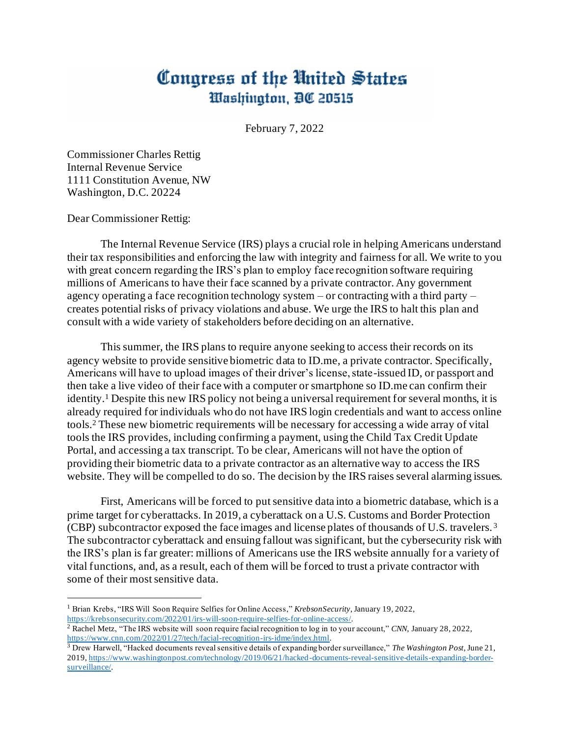## Congress of the United States Washington, DC 20515

February 7, 2022

Commissioner Charles Rettig Internal Revenue Service 1111 Constitution Avenue, NW Washington, D.C. 20224

Dear Commissioner Rettig:

The Internal Revenue Service (IRS) plays a crucial role in helping Americans understand their tax responsibilities and enforcing the law with integrity and fairness for all. We write to you with great concern regarding the IRS's plan to employ face recognition software requiring millions of Americans to have their face scanned by a private contractor. Any government agency operating a face recognition technology system – or contracting with a third party – creates potential risks of privacy violations and abuse. We urge the IRS to halt this plan and consult with a wide variety of stakeholders before deciding on an alternative.

This summer, the IRS plans to require anyone seeking to access their records on its agency website to provide sensitive biometric data to ID.me, a private contractor. Specifically, Americans will have to upload images of their driver's license, state-issued ID, or passport and then take a live video of their face with a computer or smartphone so ID.me can confirm their identity.<sup>1</sup> Despite this new IRS policy not being a universal requirement for several months, it is already required for individuals who do not have IRS login credentials and want to access online tools.<sup>2</sup> These new biometric requirements will be necessary for accessing a wide array of vital tools the IRS provides, including confirming a payment, using the Child Tax Credit Update Portal, and accessing a tax transcript. To be clear, Americans will not have the option of providing their biometric data to a private contractor as an alternative way to access the IRS website. They will be compelled to do so. The decision by the IRS raises several alarming issues.

First, Americans will be forced to put sensitive data into a biometric database, which is a prime target for cyberattacks. In 2019, a cyberattack on a U.S. Customs and Border Protection (CBP) subcontractor exposed the face images and license plates of thousands of U.S. travelers. <sup>3</sup> The subcontractor cyberattack and ensuing fallout was significant, but the cybersecurity risk with the IRS's plan is far greater: millions of Americans use the IRS website annually for a variety of vital functions, and, as a result, each of them will be forced to trust a private contractor with some of their most sensitive data.

<sup>1</sup> Brian Krebs, "IRS Will Soon Require Selfies for Online Access," *KrebsonSecurity*, January 19, 2022, <https://krebsonsecurity.com/2022/01/irs-will-soon-require-selfies-for-online-access/>.

<sup>&</sup>lt;sup>2</sup> Rachel Metz, "The IRS website will soon require facial recognition to log in to your account," *CNN*, January 28, 2022, <https://www.cnn.com/2022/01/27/tech/facial-recognition-irs-idme/index.html>.

<sup>3</sup> Drew Harwell, "Hacked documents reveal sensitive details of expanding border surveillance," *The Washington Post*, June 21, 2019[, https://www.washingtonpost.com/technology/2019/06/21/hacked-documents-reveal-sensitive-details-expanding-border](https://www.washingtonpost.com/technology/2019/06/21/hacked-documents-reveal-sensitive-details-expanding-border-surveillance/)[surveillance/.](https://www.washingtonpost.com/technology/2019/06/21/hacked-documents-reveal-sensitive-details-expanding-border-surveillance/)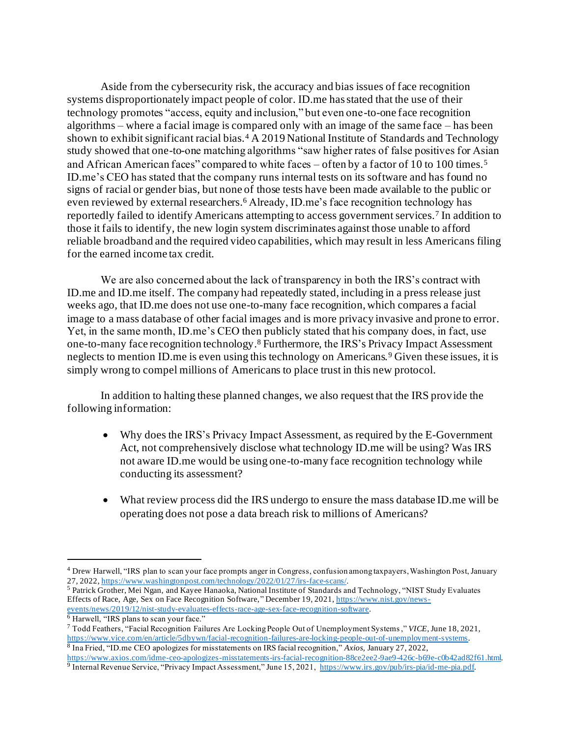Aside from the cybersecurity risk, the accuracy and bias issues of face recognition systems disproportionately impact people of color. ID.me has stated that the use of their technology promotes "access, equity and inclusion," but even one-to-one face recognition algorithms – where a facial image is compared only with an image of the same face – has been shown to exhibit significant racial bias.<sup>4</sup> A 2019 National Institute of Standards and Technology study showed that one-to-one matching algorithms "saw higher rates of false positives for Asian and African American faces" compared to white faces – often by a factor of 10 to 100 times.<sup>5</sup> ID.me's CEO has stated that the company runs internal tests on its software and has found no signs of racial or gender bias, but none of those tests have been made available to the public or even reviewed by external researchers.<sup>6</sup> Already, ID.me's face recognition technology has reportedly failed to identify Americans attempting to access government services.<sup>7</sup> In addition to those it fails to identify, the new login system discriminates against those unable to afford reliable broadband and the required video capabilities, which may result in less Americans filing for the earned income tax credit.

We are also concerned about the lack of transparency in both the IRS's contract with ID.me and ID.me itself. The company had repeatedly stated, including in a press release just weeks ago, that ID.me does not use one-to-many face recognition, which compares a facial image to a mass database of other facial images and is more privacy invasive and prone to error. Yet, in the same month, ID.me's CEO then publicly stated that his company does, in fact, use one-to-many face recognition technology. <sup>8</sup> Furthermore, the IRS's Privacy Impact Assessment neglects to mention ID.me is even using this technology on Americans.<sup>9</sup> Given these issues, it is simply wrong to compel millions of Americans to place trust in this new protocol.

In addition to halting these planned changes, we also request that the IRS provide the following information:

- Why does the IRS's Privacy Impact Assessment, as required by the E-Government Act, not comprehensively disclose what technology ID.me will be using? Was IRS not aware ID.me would be using one-to-many face recognition technology while conducting its assessment?
- What review process did the IRS undergo to ensure the mass database ID.me will be operating does not pose a data breach risk to millions of Americans?

<sup>4</sup> Drew Harwell, "IRS plan to scan your face prompts anger in Congress, confusion among taxpayers, Washington Post, January 27, 2022[, https://www.washingtonpost.com/technology/2022/01/27/irs-face-scans/](https://www.washingtonpost.com/technology/2022/01/27/irs-face-scans/).

<sup>5</sup> Patrick Grother, Mei Ngan, and Kayee Hanaoka, National Institute of Standards and Technology, "NIST Study Evaluates Effects of Race, Age, Sex on Face Recognition Software," December 19, 2021[, https://www.nist.gov/news](https://www.nist.gov/news-events/news/2019/12/nist-study-evaluates-effects-race-age-sex-face-recognition-software)[events/news/2019/12/nist-study-evaluates-effects-race-age-sex-face-recognition-software](https://www.nist.gov/news-events/news/2019/12/nist-study-evaluates-effects-race-age-sex-face-recognition-software).

<sup>&</sup>lt;sup>6</sup> Harwell, "IRS plans to scan your face."

<sup>7</sup> Todd Feathers, "Facial Recognition Failures Are Locking People Out of Unemployment Systems," *VICE*, June 18, 2021, <https://www.vice.com/en/article/5dbywn/facial-recognition-failures-are-locking-people-out-of-unemployment-systems>. 8 Ina Fried, "ID.me CEO apologizes for misstatements on IRS facial recognition," *Axios*, January 27, 2022, [https://www.axios.com/idme-ceo-apologizes-misstatements-irs-facial-recognition-88ce2ee2-9ae9-426c-b69e-c0b42ad82f61.html.](https://www.axios.com/idme-ceo-apologizes-misstatements-irs-facial-recognition-88ce2ee2-9ae9-426c-b69e-c0b42ad82f61.html)

<sup>&</sup>lt;sup>9</sup> Internal Revenue Service, "Privacy Impact Assessment," June 15, 2021[, https://www.irs.gov/pub/irs-pia/id-me-pia.pdf](https://www.irs.gov/pub/irs-pia/id-me-pia.pdf).